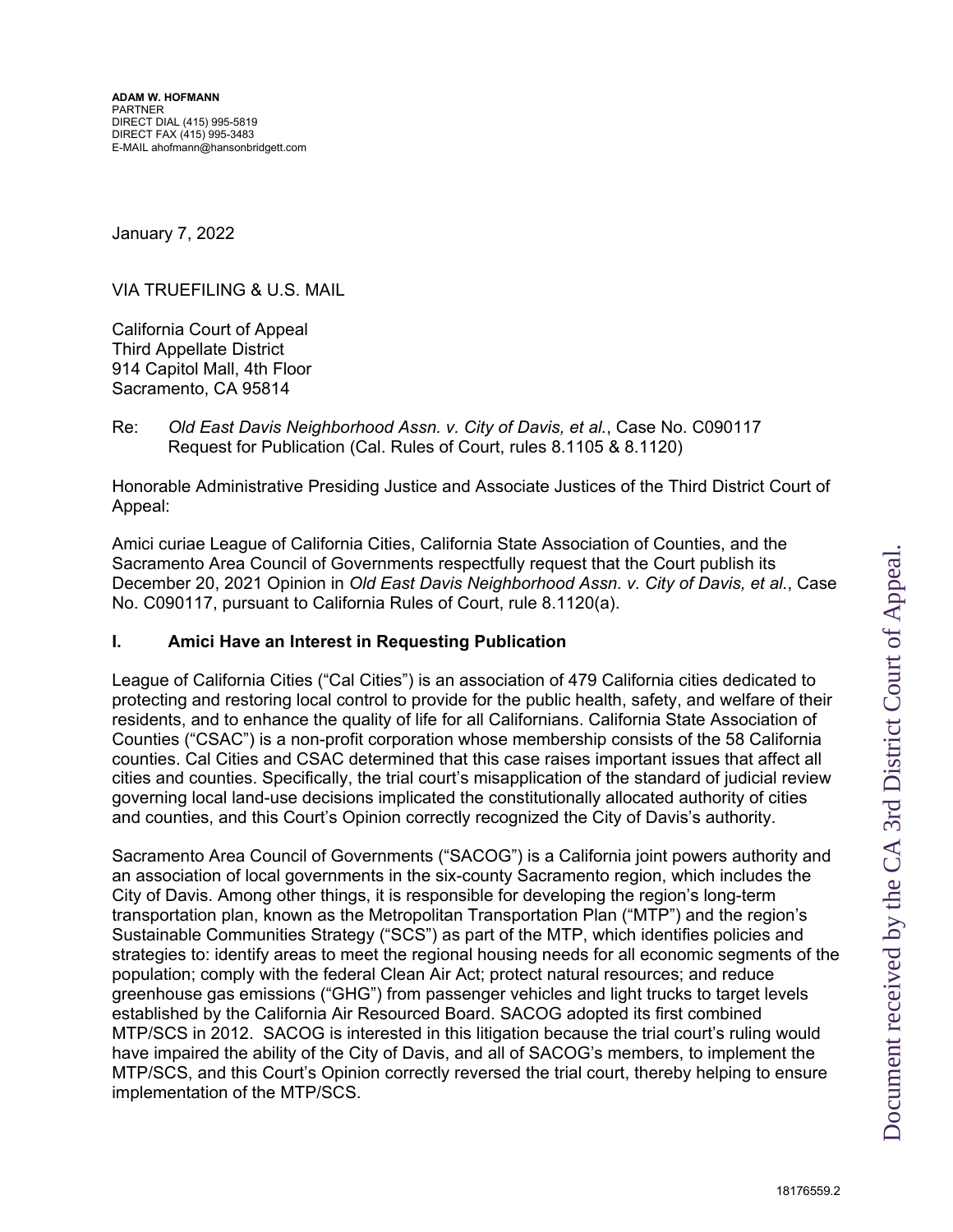January 7, 2022

VIA TRUEFILING & U.S. MAIL

California Court of Appeal Third Appellate District 914 Capitol Mall, 4th Floor Sacramento, CA 95814

Re: *Old East Davis Neighborhood Assn. v. City of Davis, et al.*, Case No. C090117 Request for Publication (Cal. Rules of Court, rules 8.1105 & 8.1120)

Honorable Administrative Presiding Justice and Associate Justices of the Third District Court of Appeal:

Amici curiae League of California Cities, California State Association of Counties, and the Sacramento Area Council of Governments respectfully request that the Court publish its December 20, 2021 Opinion in *Old East Davis Neighborhood Assn. v. City of Davis, et al.*, Case No. C090117, pursuant to California Rules of Court, rule 8.1120(a).

## **I. Amici Have an Interest in Requesting Publication**

League of California Cities ("Cal Cities") is an association of 479 California cities dedicated to protecting and restoring local control to provide for the public health, safety, and welfare of their residents, and to enhance the quality of life for all Californians. California State Association of Counties ("CSAC") is a non-profit corporation whose membership consists of the 58 California counties. Cal Cities and CSAC determined that this case raises important issues that affect all cities and counties. Specifically, the trial court's misapplication of the standard of judicial review governing local land-use decisions implicated the constitutionally allocated authority of cities and counties, and this Court's Opinion correctly recognized the City of Davis's authority.

Sacramento Area Council of Governments ("SACOG") is a California joint powers authority and an association of local governments in the six-county Sacramento region, which includes the City of Davis. Among other things, it is responsible for developing the region's long-term transportation plan, known as the Metropolitan Transportation Plan ("MTP") and the region's Sustainable Communities Strategy ("SCS") as part of the MTP, which identifies policies and strategies to: identify areas to meet the regional housing needs for all economic segments of the population; comply with the federal Clean Air Act; protect natural resources; and reduce greenhouse gas emissions ("GHG") from passenger vehicles and light trucks to target levels established by the California Air Resourced Board. SACOG adopted its first combined MTP/SCS in 2012. SACOG is interested in this litigation because the trial court's ruling would have impaired the ability of the City of Davis, and all of SACOG's members, to implement the MTP/SCS, and this Court's Opinion correctly reversed the trial court, thereby helping to ensure implementation of the MTP/SCS.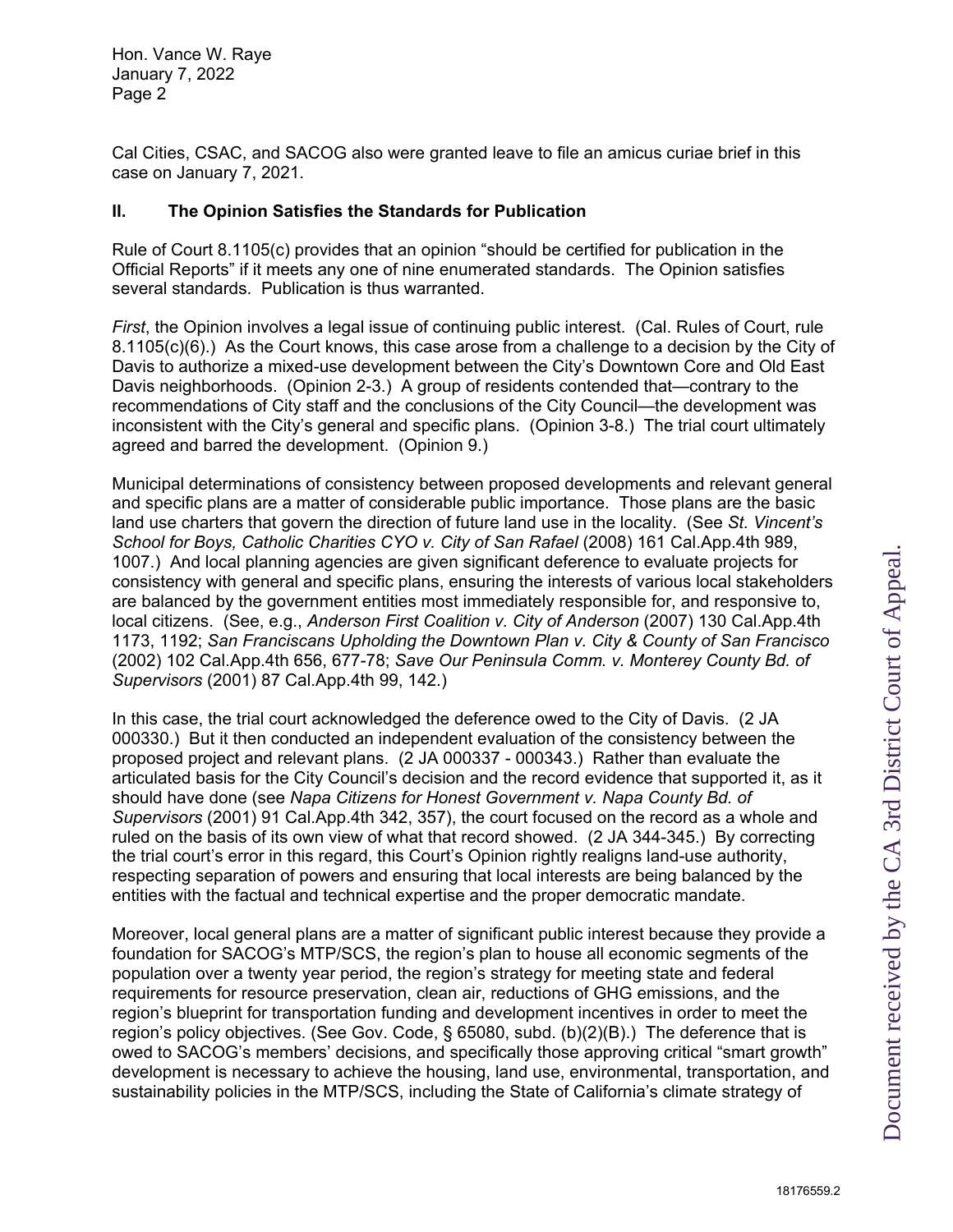Hon. Vance W. Raye January 7, 2022 Page 2

Cal Cities, CSAC, and SACOG also were granted leave to file an amicus curiae brief in this case on January 7, 2021.

# **II. The Opinion Satisfies the Standards for Publication**

Rule of Court 8.1105(c) provides that an opinion "should be certified for publication in the Official Reports" if it meets any one of nine enumerated standards. The Opinion satisfies several standards. Publication is thus warranted.

*First*, the Opinion involves a legal issue of continuing public interest. (Cal. Rules of Court, rule 8.1105(c)(6).) As the Court knows, this case arose from a challenge to a decision by the City of Davis to authorize a mixed-use development between the City's Downtown Core and Old East Davis neighborhoods. (Opinion 2-3.) A group of residents contended that—contrary to the recommendations of City staff and the conclusions of the City Council—the development was inconsistent with the City's general and specific plans. (Opinion 3-8.) The trial court ultimately agreed and barred the development. (Opinion 9.)

Municipal determinations of consistency between proposed developments and relevant general and specific plans are a matter of considerable public importance. Those plans are the basic land use charters that govern the direction of future land use in the locality. (See *St. Vincent's School for Boys, Catholic Charities CYO v. City of San Rafael* (2008) 161 Cal.App.4th 989, 1007.) And local planning agencies are given significant deference to evaluate projects for consistency with general and specific plans, ensuring the interests of various local stakeholders are balanced by the government entities most immediately responsible for, and responsive to, local citizens. (See, e.g., *Anderson First Coalition v. City of Anderson* (2007) 130 Cal.App.4th 1173, 1192; *San Franciscans Upholding the Downtown Plan v. City & County of San Francisco*  (2002) 102 Cal.App.4th 656, 677-78; *Save Our Peninsula Comm. v. Monterey County Bd. of Supervisors* (2001) 87 Cal.App.4th 99, 142.)

In this case, the trial court acknowledged the deference owed to the City of Davis. (2 JA 000330.) But it then conducted an independent evaluation of the consistency between the proposed project and relevant plans. (2 JA 000337 - 000343.) Rather than evaluate the articulated basis for the City Council's decision and the record evidence that supported it, as it should have done (see *Napa Citizens for Honest Government v. Napa County Bd. of Supervisors* (2001) 91 Cal.App.4th 342, 357), the court focused on the record as a whole and ruled on the basis of its own view of what that record showed. (2 JA 344-345.) By correcting the trial court's error in this regard, this Court's Opinion rightly realigns land-use authority, respecting separation of powers and ensuring that local interests are being balanced by the entities with the factual and technical expertise and the proper democratic mandate.

Moreover, local general plans are a matter of significant public interest because they provide a foundation for SACOG's MTP/SCS, the region's plan to house all economic segments of the population over a twenty year period, the region's strategy for meeting state and federal requirements for resource preservation, clean air, reductions of GHG emissions, and the region's blueprint for transportation funding and development incentives in order to meet the region's policy objectives. (See Gov. Code, § 65080, subd. (b)(2)(B).) The deference that is owed to SACOG's members' decisions, and specifically those approving critical "smart growth" development is necessary to achieve the housing, land use, environmental, transportation, and sustainability policies in the MTP/SCS, including the State of California's climate strategy of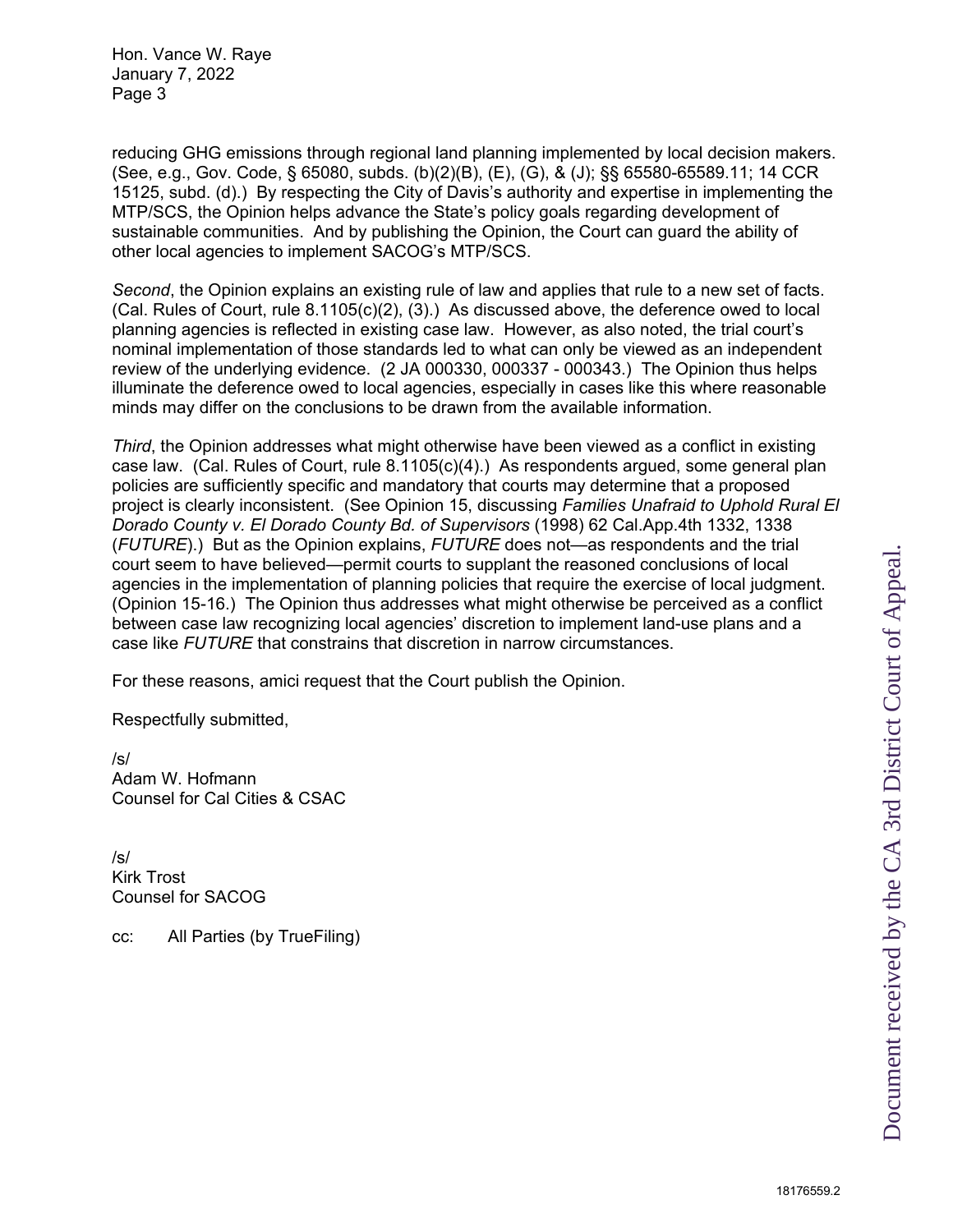Document received by the CA 3rd District Court of Appeal. Document received by the CA 3rd District Court of Appeal.

Hon. Vance W. Raye January 7, 2022 Page 3

reducing GHG emissions through regional land planning implemented by local decision makers. (See, e.g., Gov. Code, § 65080, subds. (b)(2)(B), (E), (G), & (J); §§ 65580-65589.11; 14 CCR 15125, subd. (d).) By respecting the City of Davis's authority and expertise in implementing the MTP/SCS, the Opinion helps advance the State's policy goals regarding development of sustainable communities. And by publishing the Opinion, the Court can guard the ability of other local agencies to implement SACOG's MTP/SCS.

*Second*, the Opinion explains an existing rule of law and applies that rule to a new set of facts. (Cal. Rules of Court, rule 8.1105(c)(2), (3).) As discussed above, the deference owed to local planning agencies is reflected in existing case law. However, as also noted, the trial court's nominal implementation of those standards led to what can only be viewed as an independent review of the underlying evidence. (2 JA 000330, 000337 - 000343.) The Opinion thus helps illuminate the deference owed to local agencies, especially in cases like this where reasonable minds may differ on the conclusions to be drawn from the available information.

*Third*, the Opinion addresses what might otherwise have been viewed as a conflict in existing case law. (Cal. Rules of Court, rule 8.1105(c)(4).) As respondents argued, some general plan policies are sufficiently specific and mandatory that courts may determine that a proposed project is clearly inconsistent. (See Opinion 15, discussing *Families Unafraid to Uphold Rural El Dorado County v. El Dorado County Bd. of Supervisors* (1998) 62 Cal.App.4th 1332, 1338 (*FUTURE*).) But as the Opinion explains, *FUTURE* does not—as respondents and the trial court seem to have believed—permit courts to supplant the reasoned conclusions of local agencies in the implementation of planning policies that require the exercise of local judgment. (Opinion 15-16.) The Opinion thus addresses what might otherwise be perceived as a conflict between case law recognizing local agencies' discretion to implement land-use plans and a case like *FUTURE* that constrains that discretion in narrow circumstances.

For these reasons, amici request that the Court publish the Opinion.

Respectfully submitted,

/s/ Adam W. Hofmann Counsel for Cal Cities & CSAC

/s/ Kirk Trost Counsel for SACOG

cc: All Parties (by TrueFiling)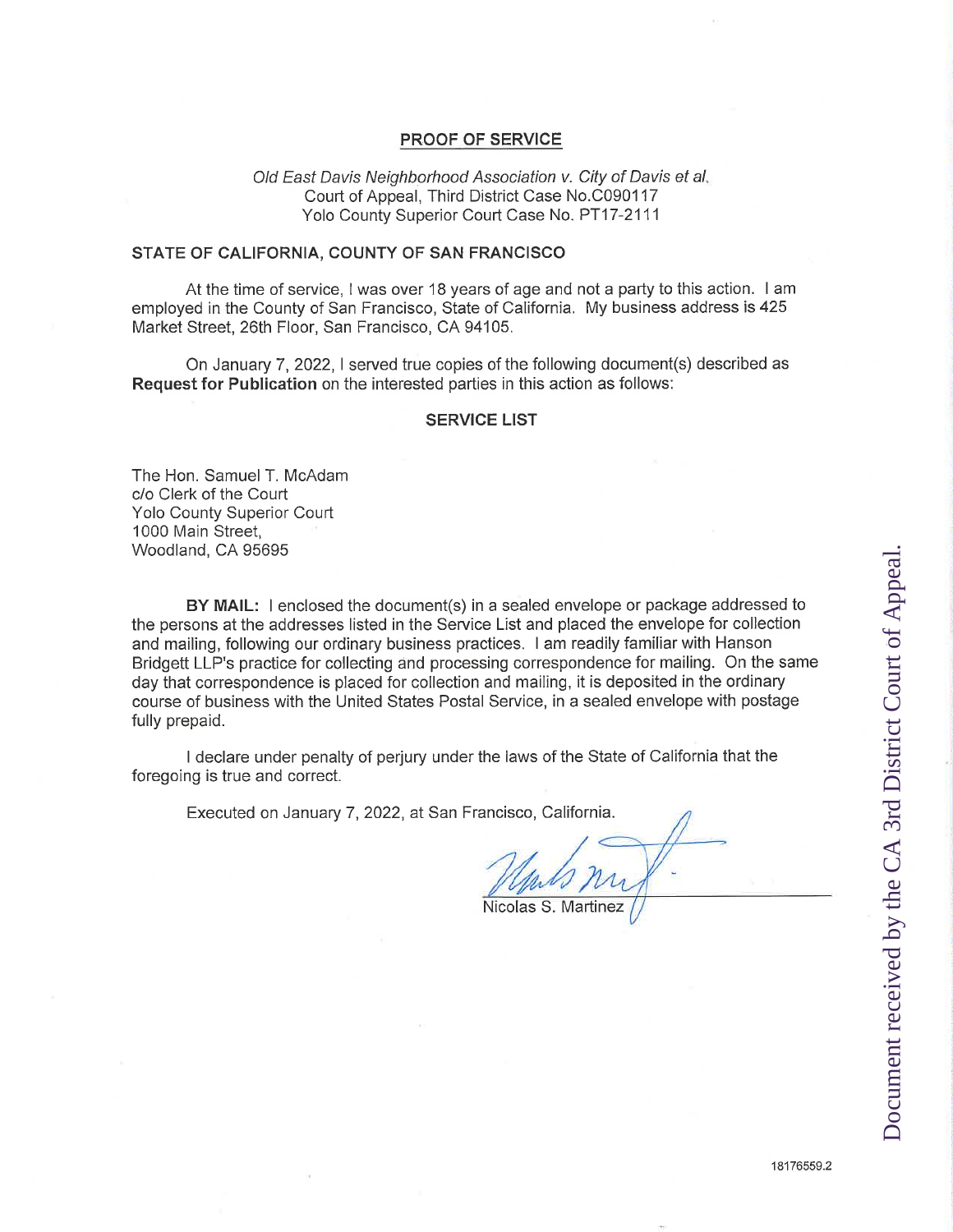# PROOF OF SERVICE

O/d East *Davis Neighborhood Association v. City of Davis et al.* Court of Appeal, Third District Case No.C090117 Yolo County Superior Court Case No. PT17-2111

#### STATE OF CALIFORNIA, COUNTY OF SAN FRANCISCO

At the time of service, <sup>I</sup> was over 18 years of age and not a party to this action. <sup>I</sup> am employed in the County of San Francisco, State of California. My business address is 425 Market Street, 26th Floor, San Francisco, CA 94105.

On January 7, 2022, I served true copies of the following document(s) described as **Request for Publication** on the interested parties in this action as follows:

#### **SERVICE LIST**

The Hon. Samuel T. McAdam c/o Clerk of the Court Yolo County Superior Court 1000 Main Street, Woodland, CA 95695

**BY MAIL:** <sup>I</sup> enclosed the document(s) in a sealed envelope or package addressed to the persons at the addresses listed in the Service List and placed the envelope for collection and mailing, following our ordinary business practices. <sup>I</sup> am readily familiar with Hanson Bridgett LLP's practice for collecting and processing correspondence for mailing. On the same day that correspondence is placed for collection and mailing, it is deposited in the ordinary course of business with the United States Postal Service, in a sealed envelope with postage fully prepaid.

<sup>I</sup> declare under penalty of perjury under the laws of the State of California that the foregoing is true and correct.

Executed on January 7, 2022, at San Francisco, California.

*/L*

Nicolas S. Martinez